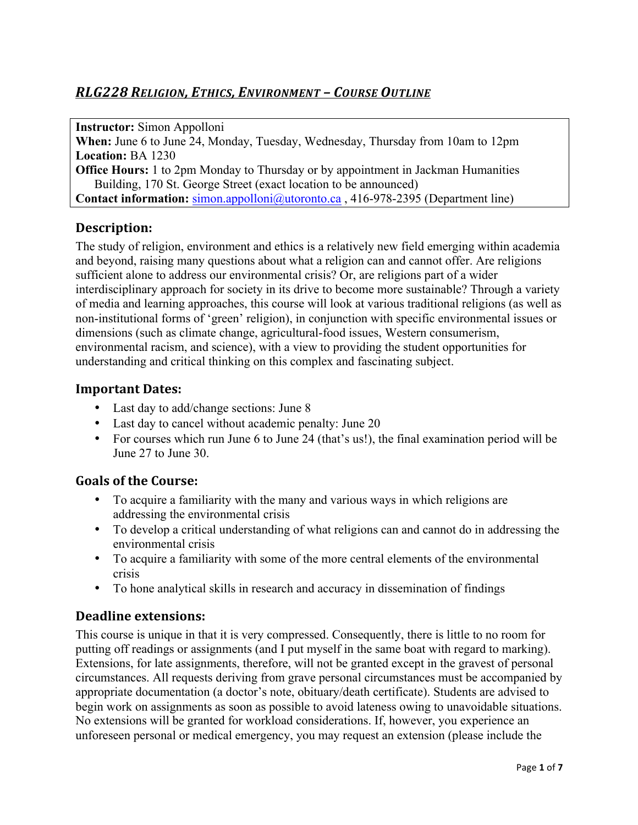# *RLG228 RELIGION, ETHICS, ENVIRONMENT&– COURSE&OUTLINE*

**Instructor:** Simon Appolloni **When:** June 6 to June 24, Monday, Tuesday, Wednesday, Thursday from 10am to 12pm **Location:** BA 1230 **Office Hours:** 1 to 2pm Monday to Thursday or by appointment in Jackman Humanities Building, 170 St. George Street (exact location to be announced) **Contact information:** simon.appolloni@utoronto.ca , 416-978-2395 (Department line)

# **Description:**

The study of religion, environment and ethics is a relatively new field emerging within academia and beyond, raising many questions about what a religion can and cannot offer. Are religions sufficient alone to address our environmental crisis? Or, are religions part of a wider interdisciplinary approach for society in its drive to become more sustainable? Through a variety of media and learning approaches, this course will look at various traditional religions (as well as non-institutional forms of 'green' religion), in conjunction with specific environmental issues or dimensions (such as climate change, agricultural-food issues, Western consumerism, environmental racism, and science), with a view to providing the student opportunities for understanding and critical thinking on this complex and fascinating subject.

## **Important Dates:**

- Last day to add/change sections: June 8
- Last day to cancel without academic penalty: June 20
- For courses which run June 6 to June 24 (that's us!), the final examination period will be June 27 to June 30.

## **Goals,of,the,Course:**

- To acquire a familiarity with the many and various ways in which religions are addressing the environmental crisis
- To develop a critical understanding of what religions can and cannot do in addressing the environmental crisis
- To acquire a familiarity with some of the more central elements of the environmental crisis
- To hone analytical skills in research and accuracy in dissemination of findings

## **Deadline extensions:**

This course is unique in that it is very compressed. Consequently, there is little to no room for putting off readings or assignments (and I put myself in the same boat with regard to marking). Extensions, for late assignments, therefore, will not be granted except in the gravest of personal circumstances. All requests deriving from grave personal circumstances must be accompanied by appropriate documentation (a doctor's note, obituary/death certificate). Students are advised to begin work on assignments as soon as possible to avoid lateness owing to unavoidable situations. No extensions will be granted for workload considerations. If, however, you experience an unforeseen personal or medical emergency, you may request an extension (please include the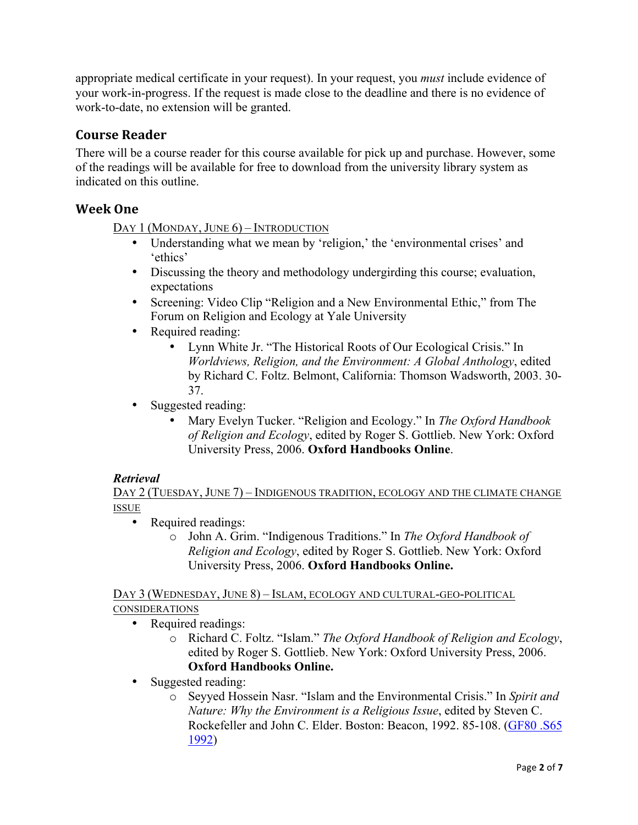appropriate medical certificate in your request). In your request, you *must* include evidence of your work-in-progress. If the request is made close to the deadline and there is no evidence of work-to-date, no extension will be granted.

# **Course,Reader**

There will be a course reader for this course available for pick up and purchase. However, some of the readings will be available for free to download from the university library system as indicated on this outline.

# **Week,One**

DAY 1 (MONDAY, JUNE 6) – INTRODUCTION

- Understanding what we mean by 'religion,' the 'environmental crises' and 'ethics'
- Discussing the theory and methodology undergirding this course; evaluation, expectations
- Screening: Video Clip "Religion and a New Environmental Ethic," from The Forum on Religion and Ecology at Yale University
- Required reading:
	- Lynn White Jr. "The Historical Roots of Our Ecological Crisis." In *Worldviews, Religion, and the Environment: A Global Anthology*, edited by Richard C. Foltz. Belmont, California: Thomson Wadsworth, 2003. 30- 37.
- Suggested reading:
	- Mary Evelyn Tucker. "Religion and Ecology." In *The Oxford Handbook of Religion and Ecology*, edited by Roger S. Gottlieb. New York: Oxford University Press, 2006. **Oxford Handbooks Online**.

## *Retrieval*

DAY 2 (TUESDAY, JUNE 7) – INDIGENOUS TRADITION, ECOLOGY AND THE CLIMATE CHANGE ISSUE

- Required readings:
	- o John A. Grim. "Indigenous Traditions." In *The Oxford Handbook of Religion and Ecology*, edited by Roger S. Gottlieb. New York: Oxford University Press, 2006. **Oxford Handbooks Online.**

DAY 3 (WEDNESDAY, JUNE 8) – ISLAM, ECOLOGY AND CULTURAL-GEO-POLITICAL CONSIDERATIONS

- Required readings:
	- o Richard C. Foltz. "Islam." *The Oxford Handbook of Religion and Ecology*, edited by Roger S. Gottlieb. New York: Oxford University Press, 2006. **Oxford Handbooks Online.**
- Suggested reading:
	- o Seyyed Hossein Nasr. "Islam and the Environmental Crisis." In *Spirit and Nature: Why the Environment is a Religious Issue*, edited by Steven C. Rockefeller and John C. Elder. Boston: Beacon, 1992. 85-108. (GF80 .S65 1992)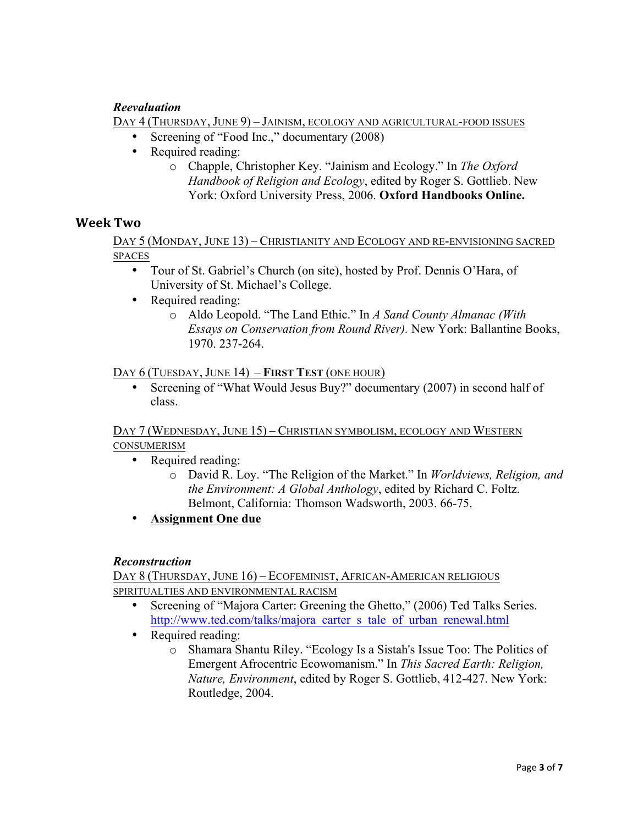## *Reevaluation*

DAY 4 (THURSDAY, JUNE 9) – JAINISM, ECOLOGY AND AGRICULTURAL-FOOD ISSUES

- Screening of "Food Inc.," documentary (2008)
- Required reading:
	- o Chapple, Christopher Key. "Jainism and Ecology." In *The Oxford Handbook of Religion and Ecology*, edited by Roger S. Gottlieb. New York: Oxford University Press, 2006. **Oxford Handbooks Online.**

## **Week,Two**

DAY 5 (MONDAY, JUNE 13) – CHRISTIANITY AND ECOLOGY AND RE-ENVISIONING SACRED SPACES

- Tour of St. Gabriel's Church (on site), hosted by Prof. Dennis O'Hara, of University of St. Michael's College.
- Required reading:
	- o Aldo Leopold. "The Land Ethic." In *A Sand County Almanac (With Essays on Conservation from Round River).* New York: Ballantine Books, 1970. 237-264.

#### DAY 6 (TUESDAY, JUNE 14) – **FIRST TEST** (ONE HOUR)

• Screening of "What Would Jesus Buy?" documentary (2007) in second half of class.

DAY 7 (WEDNESDAY, JUNE 15) – CHRISTIAN SYMBOLISM, ECOLOGY AND WESTERN CONSUMERISM

- Required reading:
	- o David R. Loy. "The Religion of the Market." In *Worldviews, Religion, and the Environment: A Global Anthology*, edited by Richard C. Foltz. Belmont, California: Thomson Wadsworth, 2003. 66-75.
- **Assignment One due**

#### *Reconstruction*

DAY 8 (THURSDAY, JUNE 16) – ECOFEMINIST, AFRICAN-AMERICAN RELIGIOUS SPIRITUALTIES AND ENVIRONMENTAL RACISM

- Screening of "Majora Carter: Greening the Ghetto," (2006) Ted Talks Series. http://www.ted.com/talks/majora\_carter\_s\_tale\_of\_urban\_renewal.html
- Required reading:
	- o Shamara Shantu Riley. "Ecology Is a Sistah's Issue Too: The Politics of Emergent Afrocentric Ecowomanism." In *This Sacred Earth: Religion, Nature, Environment*, edited by Roger S. Gottlieb, 412-427. New York: Routledge, 2004.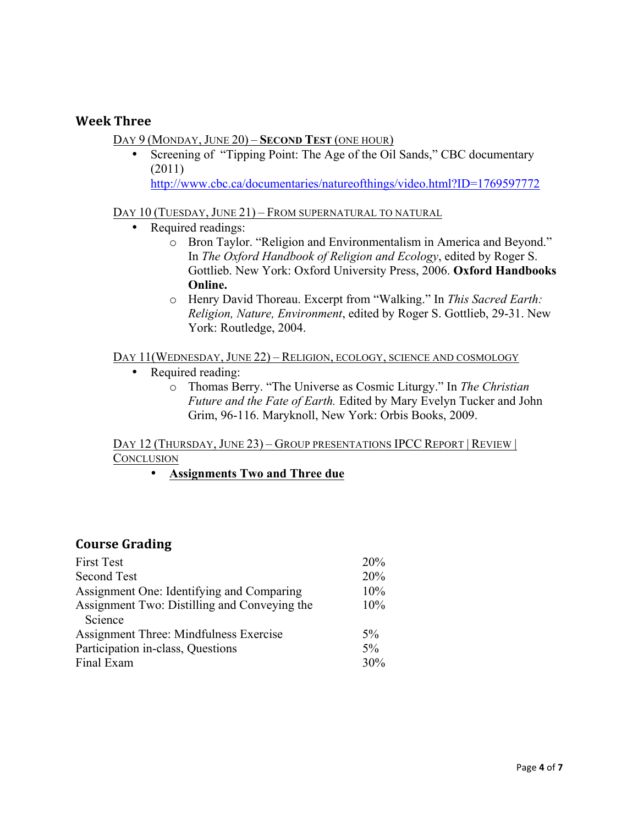## **Week,Three**

#### DAY 9 (MONDAY, JUNE 20) – **SECOND TEST** (ONE HOUR)

Screening of "Tipping Point: The Age of the Oil Sands," CBC documentary (2011) http://www.cbc.ca/documentaries/natureofthings/video.html?ID=1769597772

#### DAY 10 (TUESDAY, JUNE 21) – FROM SUPERNATURAL TO NATURAL

- Required readings:
	- o Bron Taylor. "Religion and Environmentalism in America and Beyond." In *The Oxford Handbook of Religion and Ecology*, edited by Roger S. Gottlieb. New York: Oxford University Press, 2006. **Oxford Handbooks Online.**
	- o Henry David Thoreau. Excerpt from "Walking." In *This Sacred Earth: Religion, Nature, Environment*, edited by Roger S. Gottlieb, 29-31. New York: Routledge, 2004.

#### DAY 11(WEDNESDAY, JUNE 22) – RELIGION, ECOLOGY, SCIENCE AND COSMOLOGY

- Required reading:
	- o Thomas Berry. "The Universe as Cosmic Liturgy." In *The Christian Future and the Fate of Earth.* Edited by Mary Evelyn Tucker and John Grim, 96-116. Maryknoll, New York: Orbis Books, 2009.

#### DAY 12 (THURSDAY, JUNE 23) – GROUP PRESENTATIONS IPCC REPORT | REVIEW | **CONCLUSION**

• **Assignments Two and Three due**

## **Course Grading**

| <b>First Test</b>                            | 20%   |
|----------------------------------------------|-------|
| Second Test                                  | 20%   |
| Assignment One: Identifying and Comparing    | 10%   |
| Assignment Two: Distilling and Conveying the | 10%   |
| Science                                      |       |
| Assignment Three: Mindfulness Exercise       | $5\%$ |
| Participation in-class, Questions            | 5%    |
| Final Exam                                   | 30%   |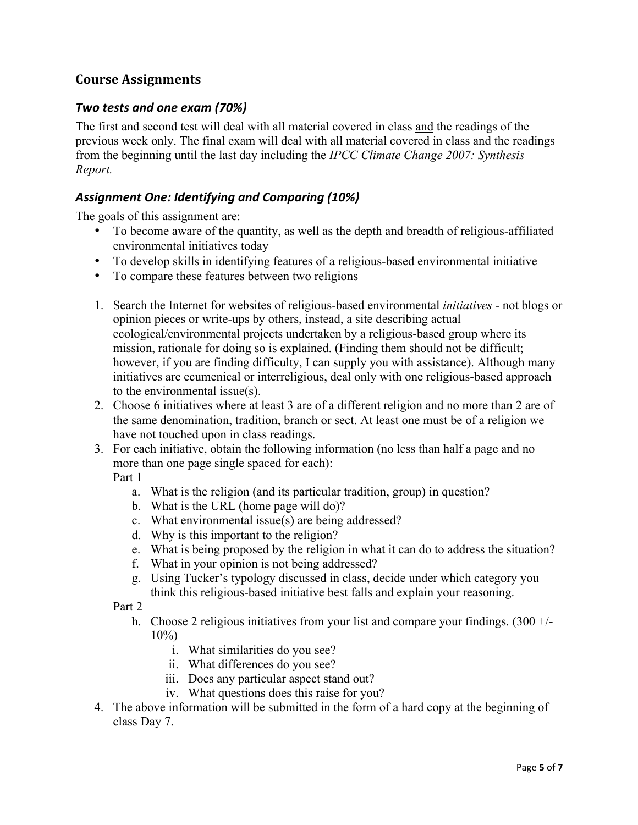# **Course,Assignments**

## *Two\$tests\$and\$one\$exam\$(70%)*

The first and second test will deal with all material covered in class and the readings of the previous week only. The final exam will deal with all material covered in class and the readings from the beginning until the last day including the *IPCC Climate Change 2007: Synthesis Report.*

# *Assignment\$One:\$Identifying\$and\$Comparing\$(10%)*

The goals of this assignment are:

- To become aware of the quantity, as well as the depth and breadth of religious-affiliated environmental initiatives today
- To develop skills in identifying features of a religious-based environmental initiative
- To compare these features between two religions
- 1. Search the Internet for websites of religious-based environmental *initiatives* not blogs or opinion pieces or write-ups by others, instead, a site describing actual ecological/environmental projects undertaken by a religious-based group where its mission, rationale for doing so is explained. (Finding them should not be difficult; however, if you are finding difficulty, I can supply you with assistance). Although many initiatives are ecumenical or interreligious, deal only with one religious-based approach to the environmental issue(s).
- 2. Choose 6 initiatives where at least 3 are of a different religion and no more than 2 are of the same denomination, tradition, branch or sect. At least one must be of a religion we have not touched upon in class readings.
- 3. For each initiative, obtain the following information (no less than half a page and no more than one page single spaced for each):

Part 1

- a. What is the religion (and its particular tradition, group) in question?
- b. What is the URL (home page will do)?
- c. What environmental issue(s) are being addressed?
- d. Why is this important to the religion?
- e. What is being proposed by the religion in what it can do to address the situation?
- f. What in your opinion is not being addressed?
- g. Using Tucker's typology discussed in class, decide under which category you think this religious-based initiative best falls and explain your reasoning.

Part 2

- h. Choose 2 religious initiatives from your list and compare your findings.  $(300 +/ 10\%)$ 
	- i. What similarities do you see?
	- ii. What differences do you see?
	- iii. Does any particular aspect stand out?
	- iv. What questions does this raise for you?
- 4. The above information will be submitted in the form of a hard copy at the beginning of class Day 7.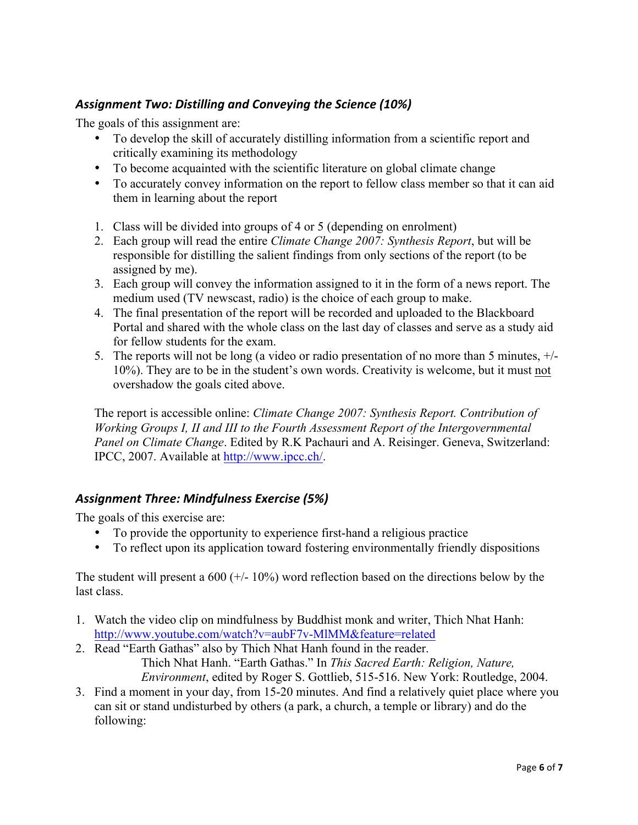# *Assignment\$Two:\$Distilling\$and\$Conveying\$the\$Science (10%)*

The goals of this assignment are:

- To develop the skill of accurately distilling information from a scientific report and critically examining its methodology
- To become acquainted with the scientific literature on global climate change
- To accurately convey information on the report to fellow class member so that it can aid them in learning about the report
- 1. Class will be divided into groups of 4 or 5 (depending on enrolment)
- 2. Each group will read the entire *Climate Change 2007: Synthesis Report*, but will be responsible for distilling the salient findings from only sections of the report (to be assigned by me).
- 3. Each group will convey the information assigned to it in the form of a news report. The medium used (TV newscast, radio) is the choice of each group to make.
- 4. The final presentation of the report will be recorded and uploaded to the Blackboard Portal and shared with the whole class on the last day of classes and serve as a study aid for fellow students for the exam.
- 5. The reports will not be long (a video or radio presentation of no more than 5 minutes, +/- 10%). They are to be in the student's own words. Creativity is welcome, but it must not overshadow the goals cited above.

The report is accessible online: *Climate Change 2007: Synthesis Report. Contribution of Working Groups I, II and III to the Fourth Assessment Report of the Intergovernmental Panel on Climate Change*. Edited by R.K Pachauri and A. Reisinger. Geneva, Switzerland: IPCC, 2007. Available at http://www.ipcc.ch/.

# *Assignment\$Three:\$Mindfulness\$Exercise\$(5%)*

The goals of this exercise are:

- To provide the opportunity to experience first-hand a religious practice
- To reflect upon its application toward fostering environmentally friendly dispositions

The student will present a 600 ( $+/-10\%$ ) word reflection based on the directions below by the last class.

- 1. Watch the video clip on mindfulness by Buddhist monk and writer, Thich Nhat Hanh: http://www.youtube.com/watch?v=aubF7v-MlMM&feature=related
- 2. Read "Earth Gathas" also by Thich Nhat Hanh found in the reader. Thich Nhat Hanh. "Earth Gathas." In *This Sacred Earth: Religion, Nature,*

*Environment*, edited by Roger S. Gottlieb, 515-516. New York: Routledge, 2004.

3. Find a moment in your day, from 15-20 minutes. And find a relatively quiet place where you can sit or stand undisturbed by others (a park, a church, a temple or library) and do the following: